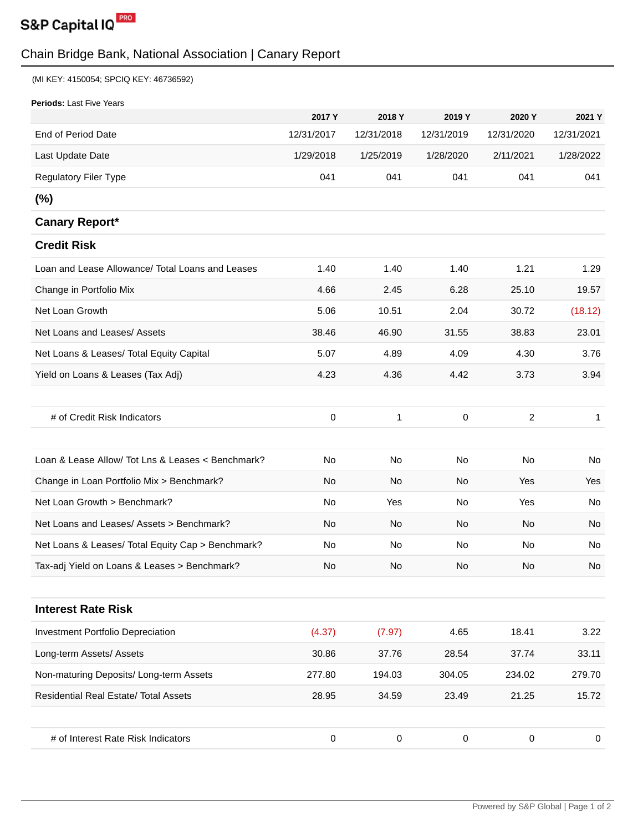

## Chain Bridge Bank, National Association | Canary Report

(MI KEY: 4150054; SPCIQ KEY: 46736592)

| <b>Periods: Last Five Years</b>                   |                      |                      |                      |                      |                      |
|---------------------------------------------------|----------------------|----------------------|----------------------|----------------------|----------------------|
| <b>End of Period Date</b>                         | 2017 Y<br>12/31/2017 | 2018 Y<br>12/31/2018 | 2019 Y<br>12/31/2019 | 2020 Y<br>12/31/2020 | 2021 Y<br>12/31/2021 |
| Last Update Date                                  | 1/29/2018            | 1/25/2019            | 1/28/2020            | 2/11/2021            | 1/28/2022            |
| <b>Regulatory Filer Type</b>                      | 041                  | 041                  | 041                  | 041                  | 041                  |
| $(\%)$                                            |                      |                      |                      |                      |                      |
| <b>Canary Report*</b>                             |                      |                      |                      |                      |                      |
|                                                   |                      |                      |                      |                      |                      |
| <b>Credit Risk</b>                                |                      |                      |                      |                      |                      |
| Loan and Lease Allowance/ Total Loans and Leases  | 1.40                 | 1.40                 | 1.40                 | 1.21                 | 1.29                 |
| Change in Portfolio Mix                           | 4.66                 | 2.45                 | 6.28                 | 25.10                | 19.57                |
| Net Loan Growth                                   | 5.06                 | 10.51                | 2.04                 | 30.72                | (18.12)              |
| Net Loans and Leases/ Assets                      | 38.46                | 46.90                | 31.55                | 38.83                | 23.01                |
| Net Loans & Leases/ Total Equity Capital          | 5.07                 | 4.89                 | 4.09                 | 4.30                 | 3.76                 |
| Yield on Loans & Leases (Tax Adj)                 | 4.23                 | 4.36                 | 4.42                 | 3.73                 | 3.94                 |
|                                                   |                      |                      |                      |                      |                      |
| # of Credit Risk Indicators                       | 0                    | 1                    | 0                    | 2                    | 1                    |
|                                                   |                      |                      |                      |                      |                      |
| Loan & Lease Allow/ Tot Lns & Leases < Benchmark? | <b>No</b>            | No                   | No                   | No                   | No                   |
| Change in Loan Portfolio Mix > Benchmark?         | No                   | No                   | No                   | Yes                  | Yes                  |
| Net Loan Growth > Benchmark?                      | No                   | Yes                  | No                   | Yes                  | No                   |
| Net Loans and Leases/ Assets > Benchmark?         | No                   | No                   | No                   | No                   | No                   |
| Net Loans & Leases/ Total Equity Cap > Benchmark? | No                   | No                   | No                   | No.                  | No                   |
| Tax-adj Yield on Loans & Leases > Benchmark?      | No                   | No                   | No                   | No                   | No                   |
|                                                   |                      |                      |                      |                      |                      |
| <b>Interest Rate Risk</b>                         |                      |                      |                      |                      |                      |
| Investment Portfolio Depreciation                 | (4.37)               | (7.97)               | 4.65                 | 18.41                | 3.22                 |
| Long-term Assets/ Assets                          | 30.86                | 37.76                | 28.54                | 37.74                | 33.11                |
| Non-maturing Deposits/ Long-term Assets           | 277.80               | 194.03               | 304.05               | 234.02               | 279.70               |
| Residential Real Estate/ Total Assets             | 28.95                | 34.59                | 23.49                | 21.25                | 15.72                |
|                                                   |                      |                      |                      |                      |                      |
| # of Interest Rate Risk Indicators                | $\pmb{0}$            | $\pmb{0}$            | $\pmb{0}$            | $\pmb{0}$            | $\pmb{0}$            |
|                                                   |                      |                      |                      |                      |                      |